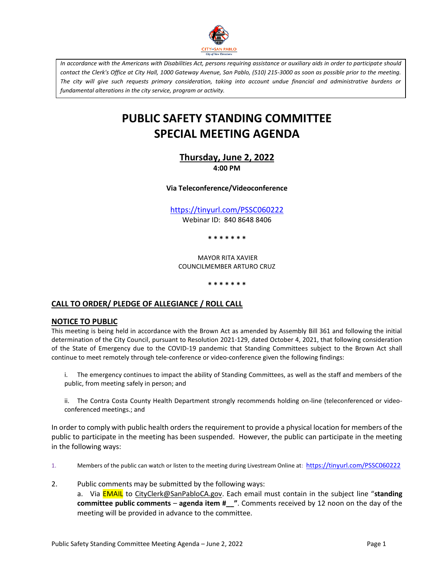

*In accordance with the Americans with Disabilities Act, persons requiring assistance or auxiliary aids in order to participate should contact the Clerk's Office at City Hall, 1000 Gateway Avenue, San Pablo, (510) 215-3000 as soon as possible prior to the meeting. The city will give such requests primary consideration, taking into account undue financial and administrative burdens or fundamental alterations in the city service, program or activity.*

# **PUBLIC SAFETY STANDING COMMITTEE SPECIAL MEETING AGENDA**

**Thursday, June 2, 2022 4:00 PM**

**Via Teleconference/Videoconference**

<https://tinyurl.com/PSSC060222> Webinar ID: 840 8648 8406

**\* \* \* \* \* \* \***

MAYOR RITA XAVIER COUNCILMEMBER ARTURO CRUZ

**\* \* \* \* \* \* \***

# **CALL TO ORDER/ PLEDGE OF ALLEGIANCE / ROLL CALL**

#### **NOTICE TO PUBLIC**

This meeting is being held in accordance with the Brown Act as amended by Assembly Bill 361 and following the initial determination of the City Council, pursuant to Resolution 2021-129, dated October 4, 2021, that following consideration of the State of Emergency due to the COVID-19 pandemic that Standing Committees subject to the Brown Act shall continue to meet remotely through tele-conference or video-conference given the following findings:

i. The emergency continues to impact the ability of Standing Committees, as well as the staff and members of the public, from meeting safely in person; and

ii. The Contra Costa County Health Department strongly recommends holding on-line (teleconferenced or videoconferenced meetings.; and

In order to comply with public health orders the requirement to provide a physical location for members of the public to participate in the meeting has been suspended. However, the public can participate in the meeting in the following ways:

1. Members of the public can watch or listen to the meeting during Livestream Online at: <https://tinyurl.com/PSSC060222>

2. Public comments may be submitted by the following ways: a. Via EMAIL to [CityClerk@SanPabloCA.gov](mailto:CityClerk@SanPabloCA.gov). Each email must contain in the subject line "**standing committee public comments** – **agenda item #\_\_"**. Comments received by 12 noon on the day of the meeting will be provided in advance to the committee.